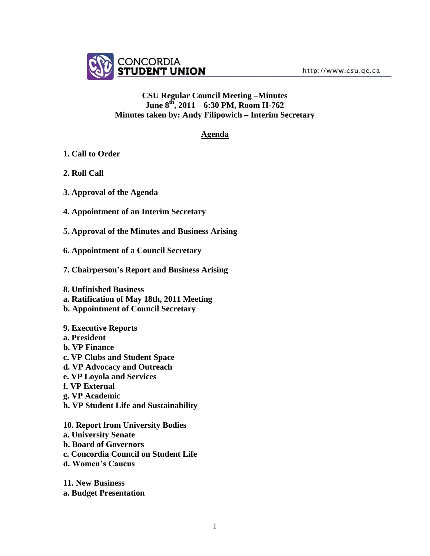

### **CSU Regular Council Meeting –Minutes June 8 th, 2011 – 6:30 PM, Room H-762 Minutes taken by: Andy Filipowich – Interim Secretary**

### **Agenda**

- **1. Call to Order**
- **2. Roll Call**
- **3. Approval of the Agenda**
- **4. Appointment of an Interim Secretary**
- **5. Approval of the Minutes and Business Arising**
- **6. Appointment of a Council Secretary**
- **7. Chairperson's Report and Business Arising**
- **8. Unfinished Business**
- **a. Ratification of May 18th, 2011 Meeting**
- **b. Appointment of Council Secretary**
- **9. Executive Reports**
- **a. President**
- **b. VP Finance**
- **c. VP Clubs and Student Space**
- **d. VP Advocacy and Outreach**
- **e. VP Loyola and Services**
- **f. VP External**
- **g. VP Academic**
- **h. VP Student Life and Sustainability**
- **10. Report from University Bodies a. University Senate b. Board of Governors c. Concordia Council on Student Life d. Women's Caucus**
- **11. New Business a. Budget Presentation**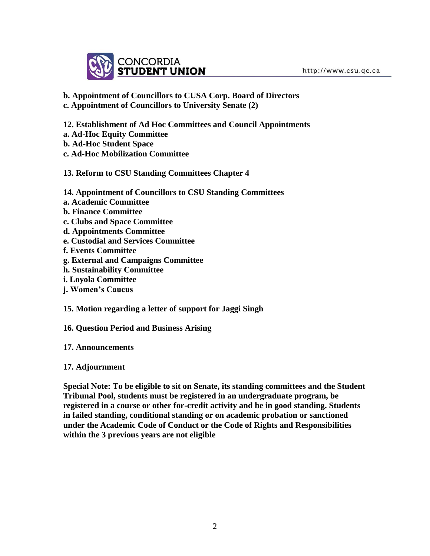

**b. Appointment of Councillors to CUSA Corp. Board of Directors c. Appointment of Councillors to University Senate (2)**

**12. Establishment of Ad Hoc Committees and Council Appointments a. Ad-Hoc Equity Committee b. Ad-Hoc Student Space c. Ad-Hoc Mobilization Committee**

**13. Reform to CSU Standing Committees Chapter 4**

**14. Appointment of Councillors to CSU Standing Committees a. Academic Committee b. Finance Committee c. Clubs and Space Committee d. Appointments Committee e. Custodial and Services Committee f. Events Committee g. External and Campaigns Committee h. Sustainability Committee i. Loyola Committee**

**j. Women's Caucus**

**15. Motion regarding a letter of support for Jaggi Singh**

**16. Question Period and Business Arising**

**17. Announcements**

**17. Adjournment**

**Special Note: To be eligible to sit on Senate, its standing committees and the Student Tribunal Pool, students must be registered in an undergraduate program, be registered in a course or other for-credit activity and be in good standing. Students in failed standing, conditional standing or on academic probation or sanctioned under the Academic Code of Conduct or the Code of Rights and Responsibilities within the 3 previous years are not eligible**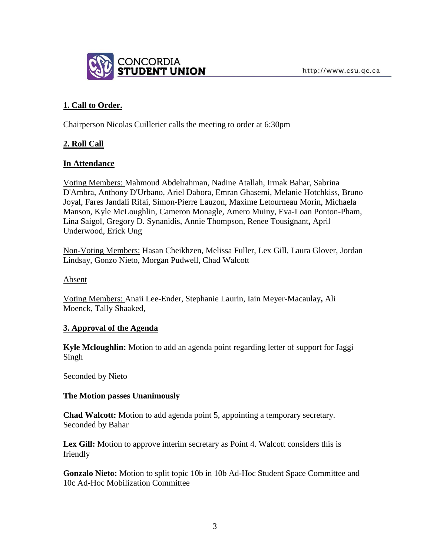

# **1. Call to Order.**

Chairperson Nicolas Cuillerier calls the meeting to order at 6:30pm

# **2. Roll Call**

### **In Attendance**

Voting Members: Mahmoud Abdelrahman, Nadine Atallah, Irmak Bahar, Sabrina D'Ambra, Anthony D'Urbano, Ariel Dabora, Emran Ghasemi, Melanie Hotchkiss, Bruno Joyal, Fares Jandali Rifai, Simon-Pierre Lauzon, Maxime Letourneau Morin, Michaela Manson, Kyle McLoughlin, Cameron Monagle, Amero Muiny, Eva-Loan Ponton-Pham, Lina Saigol, Gregory D. Synanidis, Annie Thompson, Renee Tousignant**,** April Underwood, Erick Ung

Non-Voting Members: Hasan Cheikhzen, Melissa Fuller, Lex Gill, Laura Glover, Jordan Lindsay, Gonzo Nieto, Morgan Pudwell, Chad Walcott

Absent

Voting Members: Anaii Lee-Ender, Stephanie Laurin, Iain Meyer-Macaulay**,** Ali Moenck, Tally Shaaked,

### **3. Approval of the Agenda**

**Kyle Mcloughlin:** Motion to add an agenda point regarding letter of support for Jaggi Singh

Seconded by Nieto

### **The Motion passes Unanimously**

**Chad Walcott:** Motion to add agenda point 5, appointing a temporary secretary. Seconded by Bahar

Lex Gill: Motion to approve interim secretary as Point 4. Walcott considers this is friendly

**Gonzalo Nieto:** Motion to split topic 10b in 10b Ad-Hoc Student Space Committee and 10c Ad-Hoc Mobilization Committee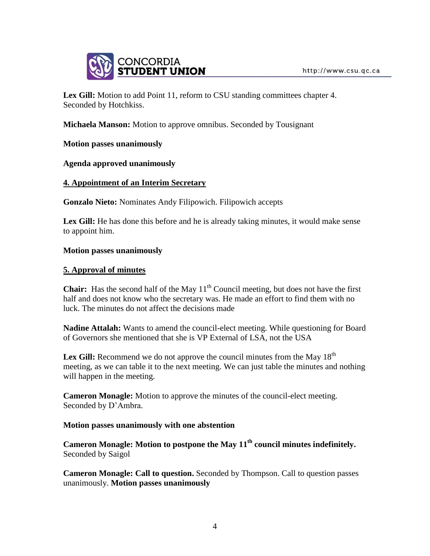

Lex Gill: Motion to add Point 11, reform to CSU standing committees chapter 4. Seconded by Hotchkiss.

**Michaela Manson:** Motion to approve omnibus. Seconded by Tousignant

## **Motion passes unanimously**

### **Agenda approved unanimously**

## **4. Appointment of an Interim Secretary**

**Gonzalo Nieto:** Nominates Andy Filipowich. Filipowich accepts

Lex Gill: He has done this before and he is already taking minutes, it would make sense to appoint him.

### **Motion passes unanimously**

## **5. Approval of minutes**

**Chair:** Has the second half of the May  $11<sup>th</sup>$  Council meeting, but does not have the first half and does not know who the secretary was. He made an effort to find them with no luck. The minutes do not affect the decisions made

**Nadine Attalah:** Wants to amend the council-elect meeting. While questioning for Board of Governors she mentioned that she is VP External of LSA, not the USA

**Lex Gill:** Recommend we do not approve the council minutes from the May  $18<sup>th</sup>$ meeting, as we can table it to the next meeting. We can just table the minutes and nothing will happen in the meeting.

**Cameron Monagle:** Motion to approve the minutes of the council-elect meeting. Seconded by D'Ambra.

### **Motion passes unanimously with one abstention**

**Cameron Monagle: Motion to postpone the May 11th council minutes indefinitely.** Seconded by Saigol

**Cameron Monagle: Call to question.** Seconded by Thompson. Call to question passes unanimously. **Motion passes unanimously**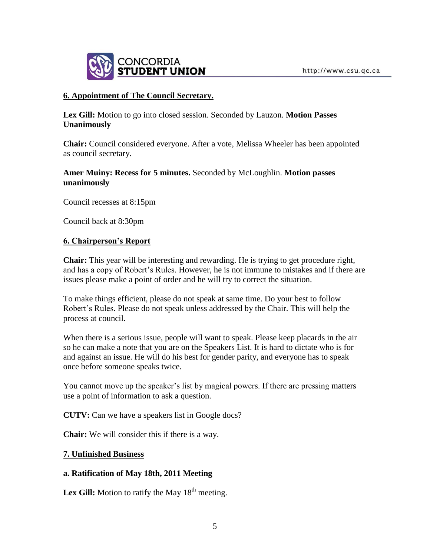

## **6. Appointment of The Council Secretary.**

**Lex Gill:** Motion to go into closed session. Seconded by Lauzon. **Motion Passes Unanimously**

**Chair:** Council considered everyone. After a vote, Melissa Wheeler has been appointed as council secretary.

## **Amer Muiny: Recess for 5 minutes.** Seconded by McLoughlin. **Motion passes unanimously**

Council recesses at 8:15pm

Council back at 8:30pm

## **6. Chairperson's Report**

**Chair:** This year will be interesting and rewarding. He is trying to get procedure right, and has a copy of Robert's Rules. However, he is not immune to mistakes and if there are issues please make a point of order and he will try to correct the situation.

To make things efficient, please do not speak at same time. Do your best to follow Robert's Rules. Please do not speak unless addressed by the Chair. This will help the process at council.

When there is a serious issue, people will want to speak. Please keep placards in the air so he can make a note that you are on the Speakers List. It is hard to dictate who is for and against an issue. He will do his best for gender parity, and everyone has to speak once before someone speaks twice.

You cannot move up the speaker's list by magical powers. If there are pressing matters use a point of information to ask a question.

**CUTV:** Can we have a speakers list in Google docs?

**Chair:** We will consider this if there is a way.

### **7. Unfinished Business**

# **a. Ratification of May 18th, 2011 Meeting**

**Lex Gill:** Motion to ratify the May  $18<sup>th</sup>$  meeting.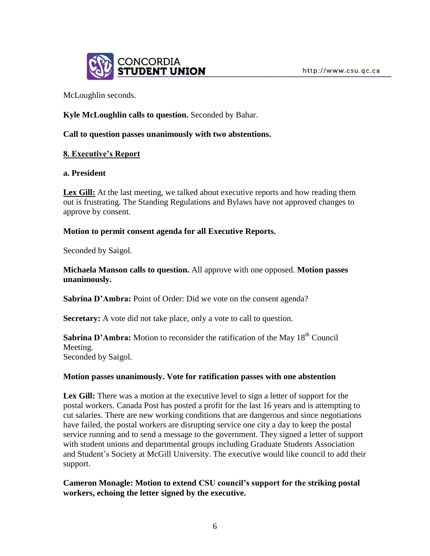

McLoughlin seconds.

## **Kyle McLoughlin calls to question.** Seconded by Bahar.

### **Call to question passes unanimously with two abstentions.**

## **8. Executive's Report**

#### **a. President**

Lex Gill: At the last meeting, we talked about executive reports and how reading them out is frustrating. The Standing Regulations and Bylaws have not approved changes to approve by consent.

### **Motion to permit consent agenda for all Executive Reports.**

Seconded by Saigol.

**Michaela Manson calls to question.** All approve with one opposed. **Motion passes unanimously.** 

Sabrina D'Ambra: Point of Order: Did we vote on the consent agenda?

**Secretary:** A vote did not take place, only a vote to call to question.

**Sabrina D'Ambra:** Motion to reconsider the ratification of the May 18<sup>th</sup> Council Meeting. Seconded by Saigol.

### **Motion passes unanimously. Vote for ratification passes with one abstention**

**Lex Gill:** There was a motion at the executive level to sign a letter of support for the postal workers. Canada Post has posted a profit for the last 16 years and is attempting to cut salaries. There are new working conditions that are dangerous and since negotiations have failed, the postal workers are disrupting service one city a day to keep the postal service running and to send a message to the government. They signed a letter of support with student unions and departmental groups including Graduate Students Association and Student's Society at McGill University. The executive would like council to add their support.

**Cameron Monagle: Motion to extend CSU council's support for the striking postal workers, echoing the letter signed by the executive.**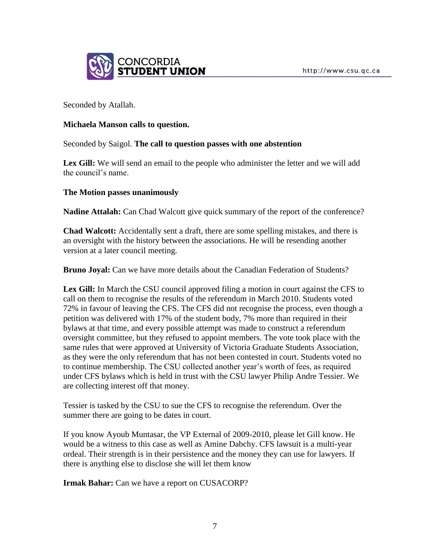

Seconded by Atallah.

## **Michaela Manson calls to question.**

Seconded by Saigol. **The call to question passes with one abstention**

Lex Gill: We will send an email to the people who administer the letter and we will add the council's name.

## **The Motion passes unanimously**

**Nadine Attalah:** Can Chad Walcott give quick summary of the report of the conference?

**Chad Walcott:** Accidentally sent a draft, there are some spelling mistakes, and there is an oversight with the history between the associations. He will be resending another version at a later council meeting.

**Bruno Joyal:** Can we have more details about the Canadian Federation of Students?

**Lex Gill:** In March the CSU council approved filing a motion in court against the CFS to call on them to recognise the results of the referendum in March 2010. Students voted 72% in favour of leaving the CFS. The CFS did not recognise the process, even though a petition was delivered with 17% of the student body, 7% more than required in their bylaws at that time, and every possible attempt was made to construct a referendum oversight committee, but they refused to appoint members. The vote took place with the same rules that were approved at University of Victoria Graduate Students Association, as they were the only referendum that has not been contested in court. Students voted no to continue membership. The CSU collected another year's worth of fees, as required under CFS bylaws which is held in trust with the CSU lawyer Philip Andre Tessier. We are collecting interest off that money.

Tessier is tasked by the CSU to sue the CFS to recognise the referendum. Over the summer there are going to be dates in court.

If you know Ayoub Muntasar, the VP External of 2009-2010, please let Gill know. He would be a witness to this case as well as Amine Dabchy. CFS lawsuit is a multi-year ordeal. Their strength is in their persistence and the money they can use for lawyers. If there is anything else to disclose she will let them know

**Irmak Bahar:** Can we have a report on CUSACORP?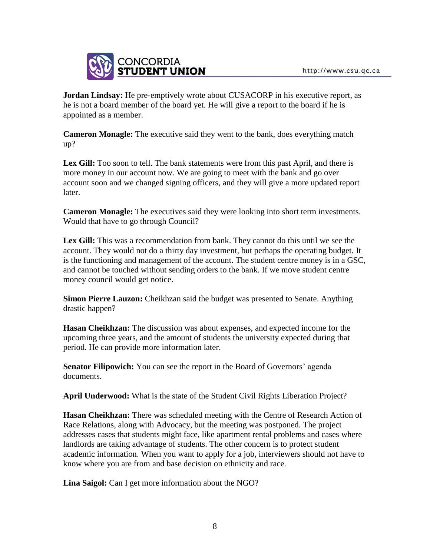

**Jordan Lindsay:** He pre-emptively wrote about CUSACORP in his executive report, as he is not a board member of the board yet. He will give a report to the board if he is appointed as a member.

**Cameron Monagle:** The executive said they went to the bank, does everything match up?

**Lex Gill:** Too soon to tell. The bank statements were from this past April, and there is more money in our account now. We are going to meet with the bank and go over account soon and we changed signing officers, and they will give a more updated report later.

**Cameron Monagle:** The executives said they were looking into short term investments. Would that have to go through Council?

**Lex Gill:** This was a recommendation from bank. They cannot do this until we see the account. They would not do a thirty day investment, but perhaps the operating budget. It is the functioning and management of the account. The student centre money is in a GSC, and cannot be touched without sending orders to the bank. If we move student centre money council would get notice.

**Simon Pierre Lauzon:** Cheikhzan said the budget was presented to Senate. Anything drastic happen?

**Hasan Cheikhzan:** The discussion was about expenses, and expected income for the upcoming three years, and the amount of students the university expected during that period. He can provide more information later.

**Senator Filipowich:** You can see the report in the Board of Governors' agenda documents.

**April Underwood:** What is the state of the Student Civil Rights Liberation Project?

**Hasan Cheikhzan:** There was scheduled meeting with the Centre of Research Action of Race Relations, along with Advocacy, but the meeting was postponed. The project addresses cases that students might face, like apartment rental problems and cases where landlords are taking advantage of students. The other concern is to protect student academic information. When you want to apply for a job, interviewers should not have to know where you are from and base decision on ethnicity and race.

**Lina Saigol:** Can I get more information about the NGO?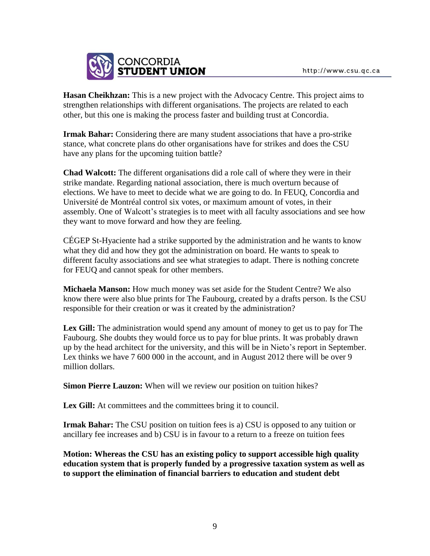

**Hasan Cheikhzan:** This is a new project with the Advocacy Centre. This project aims to strengthen relationships with different organisations. The projects are related to each other, but this one is making the process faster and building trust at Concordia.

**Irmak Bahar:** Considering there are many student associations that have a pro-strike stance, what concrete plans do other organisations have for strikes and does the CSU have any plans for the upcoming tuition battle?

**Chad Walcott:** The different organisations did a role call of where they were in their strike mandate. Regarding national association, there is much overturn because of elections. We have to meet to decide what we are going to do. In FEUQ, Concordia and Université de Montréal control six votes, or maximum amount of votes, in their assembly. One of Walcott's strategies is to meet with all faculty associations and see how they want to move forward and how they are feeling.

CÉGEP St-Hyaciente had a strike supported by the administration and he wants to know what they did and how they got the administration on board. He wants to speak to different faculty associations and see what strategies to adapt. There is nothing concrete for FEUQ and cannot speak for other members.

**Michaela Manson:** How much money was set aside for the Student Centre? We also know there were also blue prints for The Faubourg, created by a drafts person. Is the CSU responsible for their creation or was it created by the administration?

**Lex Gill:** The administration would spend any amount of money to get us to pay for The Faubourg. She doubts they would force us to pay for blue prints. It was probably drawn up by the head architect for the university, and this will be in Nieto's report in September. Lex thinks we have 7 600 000 in the account, and in August 2012 there will be over 9 million dollars.

**Simon Pierre Lauzon:** When will we review our position on tuition hikes?

Lex Gill: At committees and the committees bring it to council.

**Irmak Bahar:** The CSU position on tuition fees is a) CSU is opposed to any tuition or ancillary fee increases and b) CSU is in favour to a return to a freeze on tuition fees

**Motion: Whereas the CSU has an existing policy to support accessible high quality education system that is properly funded by a progressive taxation system as well as to support the elimination of financial barriers to education and student debt**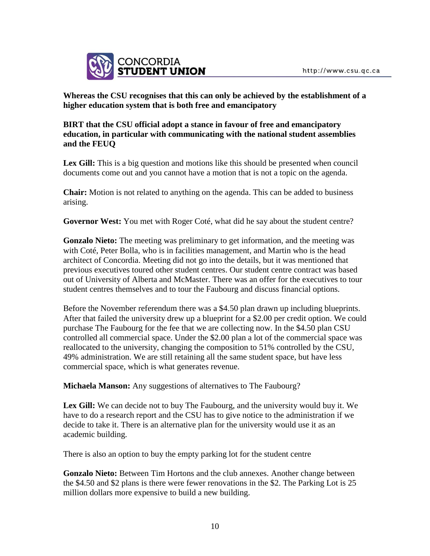

**Whereas the CSU recognises that this can only be achieved by the establishment of a higher education system that is both free and emancipatory**

## **BIRT that the CSU official adopt a stance in favour of free and emancipatory education, in particular with communicating with the national student assemblies and the FEUQ**

Lex Gill: This is a big question and motions like this should be presented when council documents come out and you cannot have a motion that is not a topic on the agenda.

**Chair:** Motion is not related to anything on the agenda. This can be added to business arising.

**Governor West:** You met with Roger Coté, what did he say about the student centre?

**Gonzalo Nieto:** The meeting was preliminary to get information, and the meeting was with Coté, Peter Bolla, who is in facilities management, and Martin who is the head architect of Concordia. Meeting did not go into the details, but it was mentioned that previous executives toured other student centres. Our student centre contract was based out of University of Alberta and McMaster. There was an offer for the executives to tour student centres themselves and to tour the Faubourg and discuss financial options.

Before the November referendum there was a \$4.50 plan drawn up including blueprints. After that failed the university drew up a blueprint for a \$2.00 per credit option. We could purchase The Faubourg for the fee that we are collecting now. In the \$4.50 plan CSU controlled all commercial space. Under the \$2.00 plan a lot of the commercial space was reallocated to the university, changing the composition to 51% controlled by the CSU, 49% administration. We are still retaining all the same student space, but have less commercial space, which is what generates revenue.

**Michaela Manson:** Any suggestions of alternatives to The Faubourg?

Lex Gill: We can decide not to buy The Faubourg, and the university would buy it. We have to do a research report and the CSU has to give notice to the administration if we decide to take it. There is an alternative plan for the university would use it as an academic building.

There is also an option to buy the empty parking lot for the student centre

**Gonzalo Nieto:** Between Tim Hortons and the club annexes. Another change between the \$4.50 and \$2 plans is there were fewer renovations in the \$2. The Parking Lot is 25 million dollars more expensive to build a new building.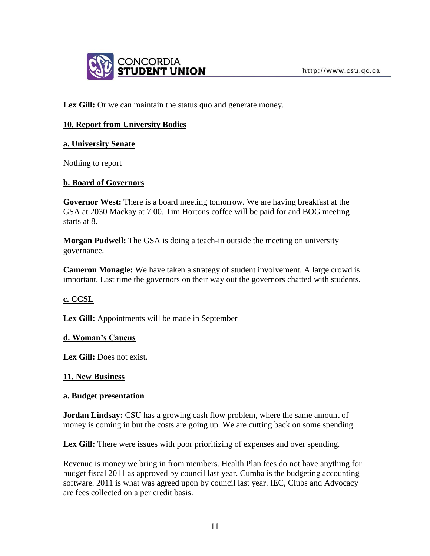

Lex Gill: Or we can maintain the status quo and generate money.

## **10. Report from University Bodies**

### **a. University Senate**

Nothing to report

### **b. Board of Governors**

**Governor West:** There is a board meeting tomorrow. We are having breakfast at the GSA at 2030 Mackay at 7:00. Tim Hortons coffee will be paid for and BOG meeting starts at 8.

**Morgan Pudwell:** The GSA is doing a teach-in outside the meeting on university governance.

**Cameron Monagle:** We have taken a strategy of student involvement. A large crowd is important. Last time the governors on their way out the governors chatted with students.

### **c. CCSL**

**Lex Gill:** Appointments will be made in September

### **d. Woman's Caucus**

**Lex Gill:** Does not exist.

### **11. New Business**

#### **a. Budget presentation**

**Jordan Lindsay:** CSU has a growing cash flow problem, where the same amount of money is coming in but the costs are going up. We are cutting back on some spending.

Lex Gill: There were issues with poor prioritizing of expenses and over spending.

Revenue is money we bring in from members. Health Plan fees do not have anything for budget fiscal 2011 as approved by council last year. Cumba is the budgeting accounting software. 2011 is what was agreed upon by council last year. IEC, Clubs and Advocacy are fees collected on a per credit basis.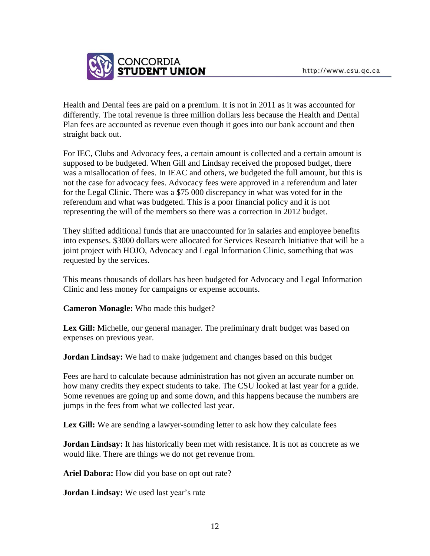

Health and Dental fees are paid on a premium. It is not in 2011 as it was accounted for differently. The total revenue is three million dollars less because the Health and Dental Plan fees are accounted as revenue even though it goes into our bank account and then straight back out.

For IEC, Clubs and Advocacy fees, a certain amount is collected and a certain amount is supposed to be budgeted. When Gill and Lindsay received the proposed budget, there was a misallocation of fees. In IEAC and others, we budgeted the full amount, but this is not the case for advocacy fees. Advocacy fees were approved in a referendum and later for the Legal Clinic. There was a \$75 000 discrepancy in what was voted for in the referendum and what was budgeted. This is a poor financial policy and it is not representing the will of the members so there was a correction in 2012 budget.

They shifted additional funds that are unaccounted for in salaries and employee benefits into expenses. \$3000 dollars were allocated for Services Research Initiative that will be a joint project with HOJO, Advocacy and Legal Information Clinic, something that was requested by the services.

This means thousands of dollars has been budgeted for Advocacy and Legal Information Clinic and less money for campaigns or expense accounts.

**Cameron Monagle:** Who made this budget?

**Lex Gill:** Michelle, our general manager. The preliminary draft budget was based on expenses on previous year.

**Jordan Lindsay:** We had to make judgement and changes based on this budget

Fees are hard to calculate because administration has not given an accurate number on how many credits they expect students to take. The CSU looked at last year for a guide. Some revenues are going up and some down, and this happens because the numbers are jumps in the fees from what we collected last year.

Lex Gill: We are sending a lawyer-sounding letter to ask how they calculate fees

**Jordan Lindsay:** It has historically been met with resistance. It is not as concrete as we would like. There are things we do not get revenue from.

**Ariel Dabora:** How did you base on opt out rate?

**Jordan Lindsay:** We used last year's rate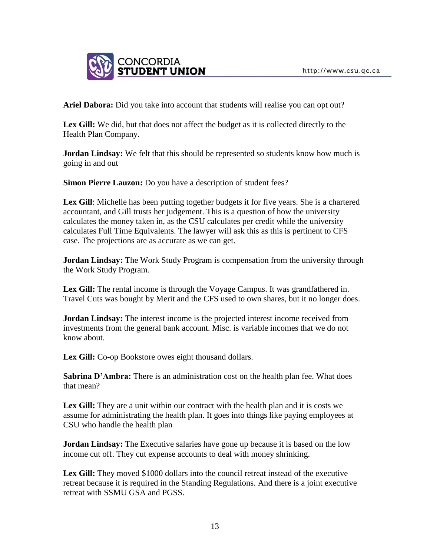

**Ariel Dabora:** Did you take into account that students will realise you can opt out?

**Lex Gill:** We did, but that does not affect the budget as it is collected directly to the Health Plan Company.

**Jordan Lindsay:** We felt that this should be represented so students know how much is going in and out

**Simon Pierre Lauzon:** Do you have a description of student fees?

Lex Gill: Michelle has been putting together budgets it for five years. She is a chartered accountant, and Gill trusts her judgement. This is a question of how the university calculates the money taken in, as the CSU calculates per credit while the university calculates Full Time Equivalents. The lawyer will ask this as this is pertinent to CFS case. The projections are as accurate as we can get.

**Jordan Lindsay:** The Work Study Program is compensation from the university through the Work Study Program.

**Lex Gill:** The rental income is through the Voyage Campus. It was grandfathered in. Travel Cuts was bought by Merit and the CFS used to own shares, but it no longer does.

**Jordan Lindsay:** The interest income is the projected interest income received from investments from the general bank account. Misc. is variable incomes that we do not know about.

Lex Gill: Co-op Bookstore owes eight thousand dollars.

**Sabrina D'Ambra:** There is an administration cost on the health plan fee. What does that mean?

Lex Gill: They are a unit within our contract with the health plan and it is costs we assume for administrating the health plan. It goes into things like paying employees at CSU who handle the health plan

**Jordan Lindsay:** The Executive salaries have gone up because it is based on the low income cut off. They cut expense accounts to deal with money shrinking.

**Lex Gill:** They moved \$1000 dollars into the council retreat instead of the executive retreat because it is required in the Standing Regulations. And there is a joint executive retreat with SSMU GSA and PGSS.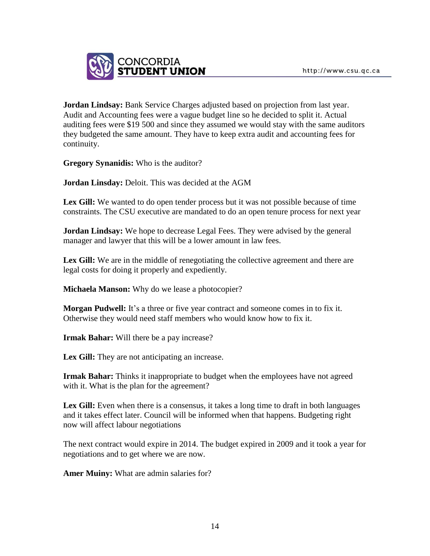

**Jordan Lindsay:** Bank Service Charges adjusted based on projection from last year. Audit and Accounting fees were a vague budget line so he decided to split it. Actual auditing fees were \$19 500 and since they assumed we would stay with the same auditors they budgeted the same amount. They have to keep extra audit and accounting fees for continuity.

**Gregory Synanidis:** Who is the auditor?

**Jordan Linsday:** Deloit. This was decided at the AGM

**Lex Gill:** We wanted to do open tender process but it was not possible because of time constraints. The CSU executive are mandated to do an open tenure process for next year

**Jordan Lindsay:** We hope to decrease Legal Fees. They were advised by the general manager and lawyer that this will be a lower amount in law fees.

Lex Gill: We are in the middle of renegotiating the collective agreement and there are legal costs for doing it properly and expediently.

**Michaela Manson:** Why do we lease a photocopier?

**Morgan Pudwell:** It's a three or five year contract and someone comes in to fix it. Otherwise they would need staff members who would know how to fix it.

**Irmak Bahar:** Will there be a pay increase?

Lex Gill: They are not anticipating an increase.

**Irmak Bahar:** Thinks it inappropriate to budget when the employees have not agreed with it. What is the plan for the agreement?

Lex Gill: Even when there is a consensus, it takes a long time to draft in both languages and it takes effect later. Council will be informed when that happens. Budgeting right now will affect labour negotiations

The next contract would expire in 2014. The budget expired in 2009 and it took a year for negotiations and to get where we are now.

**Amer Muiny:** What are admin salaries for?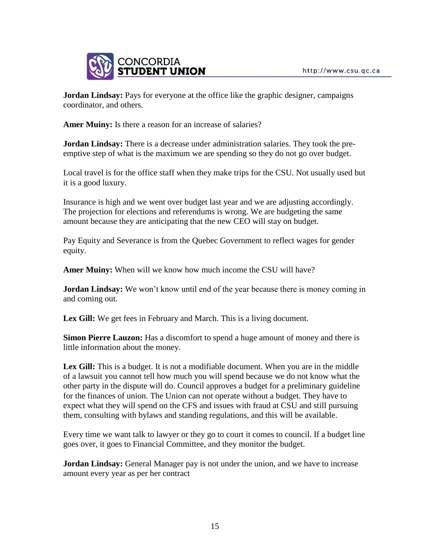

**Jordan Lindsay:** Pays for everyone at the office like the graphic designer, campaigns coordinator, and others.

**Amer Muiny:** Is there a reason for an increase of salaries?

**Jordan Lindsay:** There is a decrease under administration salaries. They took the preemptive step of what is the maximum we are spending so they do not go over budget.

Local travel is for the office staff when they make trips for the CSU. Not usually used but it is a good luxury.

Insurance is high and we went over budget last year and we are adjusting accordingly. The projection for elections and referendums is wrong. We are budgeting the same amount because they are anticipating that the new CEO will stay on budget.

Pay Equity and Severance is from the Quebec Government to reflect wages for gender equity.

**Amer Muiny:** When will we know how much income the CSU will have?

**Jordan Lindsay:** We won't know until end of the year because there is money coming in and coming out.

Lex Gill: We get fees in February and March. This is a living document.

**Simon Pierre Lauzon:** Has a discomfort to spend a huge amount of money and there is little information about the money.

**Lex Gill:** This is a budget. It is not a modifiable document. When you are in the middle of a lawsuit you cannot tell how much you will spend because we do not know what the other party in the dispute will do. Council approves a budget for a preliminary guideline for the finances of union. The Union can not operate without a budget. They have to expect what they will spend on the CFS and issues with fraud at CSU and still pursuing them, consulting with bylaws and standing regulations, and this will be available.

Every time we want talk to lawyer or they go to court it comes to council. If a budget line goes over, it goes to Financial Committee, and they monitor the budget.

**Jordan Lindsay:** General Manager pay is not under the union, and we have to increase amount every year as per her contract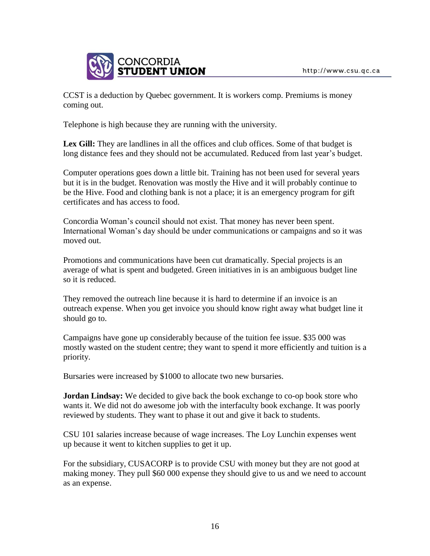

CCST is a deduction by Quebec government. It is workers comp. Premiums is money coming out.

Telephone is high because they are running with the university.

**Lex Gill:** They are landlines in all the offices and club offices. Some of that budget is long distance fees and they should not be accumulated. Reduced from last year's budget.

Computer operations goes down a little bit. Training has not been used for several years but it is in the budget. Renovation was mostly the Hive and it will probably continue to be the Hive. Food and clothing bank is not a place; it is an emergency program for gift certificates and has access to food.

Concordia Woman's council should not exist. That money has never been spent. International Woman's day should be under communications or campaigns and so it was moved out.

Promotions and communications have been cut dramatically. Special projects is an average of what is spent and budgeted. Green initiatives in is an ambiguous budget line so it is reduced.

They removed the outreach line because it is hard to determine if an invoice is an outreach expense. When you get invoice you should know right away what budget line it should go to.

Campaigns have gone up considerably because of the tuition fee issue. \$35 000 was mostly wasted on the student centre; they want to spend it more efficiently and tuition is a priority.

Bursaries were increased by \$1000 to allocate two new bursaries.

**Jordan Lindsay:** We decided to give back the book exchange to co-op book store who wants it. We did not do awesome job with the interfaculty book exchange. It was poorly reviewed by students. They want to phase it out and give it back to students.

CSU 101 salaries increase because of wage increases. The Loy Lunchin expenses went up because it went to kitchen supplies to get it up.

For the subsidiary, CUSACORP is to provide CSU with money but they are not good at making money. They pull \$60 000 expense they should give to us and we need to account as an expense.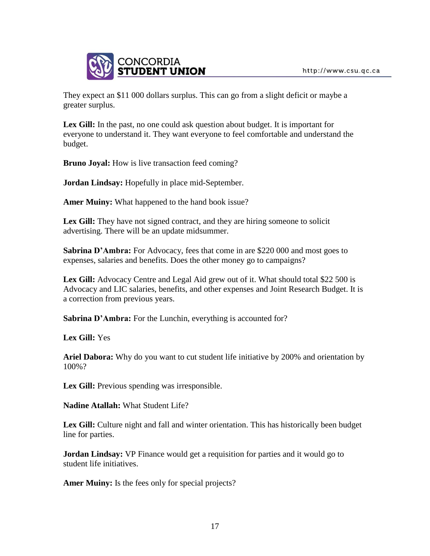

They expect an \$11 000 dollars surplus. This can go from a slight deficit or maybe a greater surplus.

**Lex Gill:** In the past, no one could ask question about budget. It is important for everyone to understand it. They want everyone to feel comfortable and understand the budget.

**Bruno Joyal:** How is live transaction feed coming?

**Jordan Lindsay:** Hopefully in place mid-September.

**Amer Muiny:** What happened to the hand book issue?

Lex Gill: They have not signed contract, and they are hiring someone to solicit advertising. There will be an update midsummer.

**Sabrina D'Ambra:** For Advocacy, fees that come in are \$220 000 and most goes to expenses, salaries and benefits. Does the other money go to campaigns?

**Lex Gill:** Advocacy Centre and Legal Aid grew out of it. What should total \$22 500 is Advocacy and LIC salaries, benefits, and other expenses and Joint Research Budget. It is a correction from previous years.

**Sabrina D'Ambra:** For the Lunchin, everything is accounted for?

**Lex Gill:** Yes

**Ariel Dabora:** Why do you want to cut student life initiative by 200% and orientation by 100%?

Lex Gill: Previous spending was irresponsible.

**Nadine Atallah:** What Student Life?

**Lex Gill:** Culture night and fall and winter orientation. This has historically been budget line for parties.

**Jordan Lindsay:** VP Finance would get a requisition for parties and it would go to student life initiatives.

**Amer Muiny:** Is the fees only for special projects?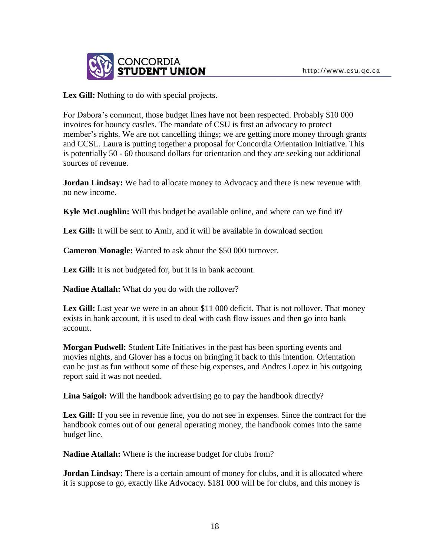

Lex Gill: Nothing to do with special projects.

For Dabora's comment, those budget lines have not been respected. Probably \$10 000 invoices for bouncy castles. The mandate of CSU is first an advocacy to protect member's rights. We are not cancelling things; we are getting more money through grants and CCSL. Laura is putting together a proposal for Concordia Orientation Initiative. This is potentially 50 - 60 thousand dollars for orientation and they are seeking out additional sources of revenue.

**Jordan Lindsay:** We had to allocate money to Advocacy and there is new revenue with no new income.

**Kyle McLoughlin:** Will this budget be available online, and where can we find it?

Lex Gill: It will be sent to Amir, and it will be available in download section

**Cameron Monagle:** Wanted to ask about the \$50 000 turnover.

Lex Gill: It is not budgeted for, but it is in bank account.

**Nadine Atallah:** What do you do with the rollover?

Lex Gill: Last year we were in an about \$11 000 deficit. That is not rollover. That money exists in bank account, it is used to deal with cash flow issues and then go into bank account.

**Morgan Pudwell:** Student Life Initiatives in the past has been sporting events and movies nights, and Glover has a focus on bringing it back to this intention. Orientation can be just as fun without some of these big expenses, and Andres Lopez in his outgoing report said it was not needed.

**Lina Saigol:** Will the handbook advertising go to pay the handbook directly?

Lex Gill: If you see in revenue line, you do not see in expenses. Since the contract for the handbook comes out of our general operating money, the handbook comes into the same budget line.

**Nadine Atallah:** Where is the increase budget for clubs from?

**Jordan Lindsay:** There is a certain amount of money for clubs, and it is allocated where it is suppose to go, exactly like Advocacy. \$181 000 will be for clubs, and this money is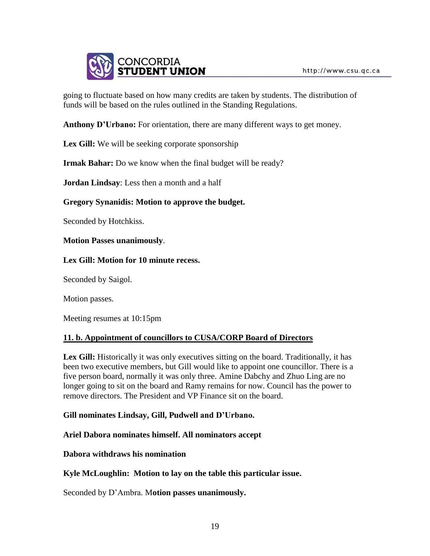

going to fluctuate based on how many credits are taken by students. The distribution of funds will be based on the rules outlined in the Standing Regulations.

**Anthony D'Urbano:** For orientation, there are many different ways to get money.

Lex Gill: We will be seeking corporate sponsorship

**Irmak Bahar:** Do we know when the final budget will be ready?

**Jordan Lindsay**: Less then a month and a half

### **Gregory Synanidis: Motion to approve the budget.**

Seconded by Hotchkiss.

**Motion Passes unanimously**.

#### **Lex Gill: Motion for 10 minute recess.**

Seconded by Saigol.

Motion passes.

Meeting resumes at 10:15pm

### **11. b. Appointment of councillors to CUSA/CORP Board of Directors**

**Lex Gill:** Historically it was only executives sitting on the board. Traditionally, it has been two executive members, but Gill would like to appoint one councillor. There is a five person board, normally it was only three. Amine Dabchy and Zhuo Ling are no longer going to sit on the board and Ramy remains for now. Council has the power to remove directors. The President and VP Finance sit on the board.

### **Gill nominates Lindsay, Gill, Pudwell and D'Urbano.**

### **Ariel Dabora nominates himself. All nominators accept**

### **Dabora withdraws his nomination**

**Kyle McLoughlin: Motion to lay on the table this particular issue.** 

Seconded by D'Ambra. M**otion passes unanimously.**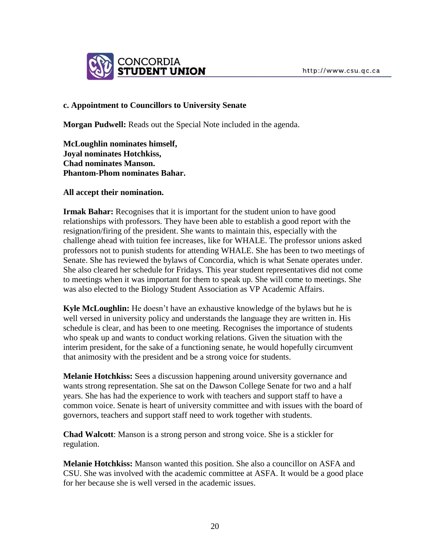

## **c. Appointment to Councillors to University Senate**

**Morgan Pudwell:** Reads out the Special Note included in the agenda.

**McLoughlin nominates himself, Joyal nominates Hotchkiss, Chad nominates Manson. Phantom-Phom nominates Bahar.** 

### **All accept their nomination.**

**Irmak Bahar:** Recognises that it is important for the student union to have good relationships with professors. They have been able to establish a good report with the resignation/firing of the president. She wants to maintain this, especially with the challenge ahead with tuition fee increases, like for WHALE. The professor unions asked professors not to punish students for attending WHALE. She has been to two meetings of Senate. She has reviewed the bylaws of Concordia, which is what Senate operates under. She also cleared her schedule for Fridays. This year student representatives did not come to meetings when it was important for them to speak up. She will come to meetings. She was also elected to the Biology Student Association as VP Academic Affairs.

**Kyle McLoughlin:** He doesn't have an exhaustive knowledge of the bylaws but he is well versed in university policy and understands the language they are written in. His schedule is clear, and has been to one meeting. Recognises the importance of students who speak up and wants to conduct working relations. Given the situation with the interim president, for the sake of a functioning senate, he would hopefully circumvent that animosity with the president and be a strong voice for students.

**Melanie Hotchkiss:** Sees a discussion happening around university governance and wants strong representation. She sat on the Dawson College Senate for two and a half years. She has had the experience to work with teachers and support staff to have a common voice. Senate is heart of university committee and with issues with the board of governors, teachers and support staff need to work together with students.

**Chad Walcott**: Manson is a strong person and strong voice. She is a stickler for regulation.

**Melanie Hotchkiss:** Manson wanted this position. She also a councillor on ASFA and CSU. She was involved with the academic committee at ASFA. It would be a good place for her because she is well versed in the academic issues.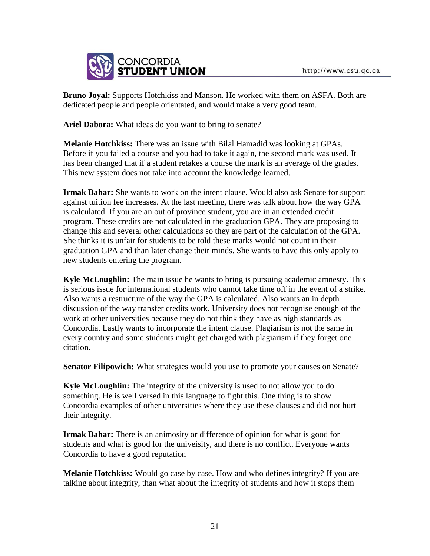

**Bruno Joyal:** Supports Hotchkiss and Manson. He worked with them on ASFA. Both are dedicated people and people orientated, and would make a very good team.

**Ariel Dabora:** What ideas do you want to bring to senate?

**Melanie Hotchkiss:** There was an issue with Bilal Hamadid was looking at GPAs. Before if you failed a course and you had to take it again, the second mark was used. It has been changed that if a student retakes a course the mark is an average of the grades. This new system does not take into account the knowledge learned.

**Irmak Bahar:** She wants to work on the intent clause. Would also ask Senate for support against tuition fee increases. At the last meeting, there was talk about how the way GPA is calculated. If you are an out of province student, you are in an extended credit program. These credits are not calculated in the graduation GPA. They are proposing to change this and several other calculations so they are part of the calculation of the GPA. She thinks it is unfair for students to be told these marks would not count in their graduation GPA and than later change their minds. She wants to have this only apply to new students entering the program.

**Kyle McLoughlin:** The main issue he wants to bring is pursuing academic amnesty. This is serious issue for international students who cannot take time off in the event of a strike. Also wants a restructure of the way the GPA is calculated. Also wants an in depth discussion of the way transfer credits work. University does not recognise enough of the work at other universities because they do not think they have as high standards as Concordia. Lastly wants to incorporate the intent clause. Plagiarism is not the same in every country and some students might get charged with plagiarism if they forget one citation.

**Senator Filipowich:** What strategies would you use to promote your causes on Senate?

**Kyle McLoughlin:** The integrity of the university is used to not allow you to do something. He is well versed in this language to fight this. One thing is to show Concordia examples of other universities where they use these clauses and did not hurt their integrity.

**Irmak Bahar:** There is an animosity or difference of opinion for what is good for students and what is good for the univeisity, and there is no conflict. Everyone wants Concordia to have a good reputation

**Melanie Hotchkiss:** Would go case by case. How and who defines integrity? If you are talking about integrity, than what about the integrity of students and how it stops them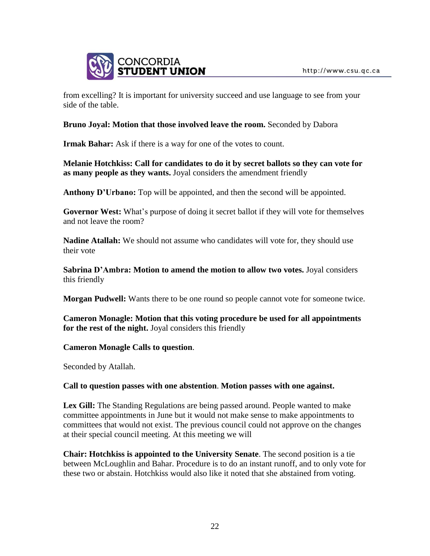

from excelling? It is important for university succeed and use language to see from your side of the table.

## **Bruno Joyal: Motion that those involved leave the room.** Seconded by Dabora

**Irmak Bahar:** Ask if there is a way for one of the votes to count.

**Melanie Hotchkiss: Call for candidates to do it by secret ballots so they can vote for as many people as they wants.** Joyal considers the amendment friendly

Anthony D'Urbano: Top will be appointed, and then the second will be appointed.

**Governor West:** What's purpose of doing it secret ballot if they will vote for themselves and not leave the room?

**Nadine Atallah:** We should not assume who candidates will vote for, they should use their vote

**Sabrina D'Ambra: Motion to amend the motion to allow two votes.** Joyal considers this friendly

**Morgan Pudwell:** Wants there to be one round so people cannot vote for someone twice.

**Cameron Monagle: Motion that this voting procedure be used for all appointments for the rest of the night.** Joyal considers this friendly

**Cameron Monagle Calls to question**.

Seconded by Atallah.

### **Call to question passes with one abstention**. **Motion passes with one against.**

**Lex Gill:** The Standing Regulations are being passed around. People wanted to make committee appointments in June but it would not make sense to make appointments to committees that would not exist. The previous council could not approve on the changes at their special council meeting. At this meeting we will

**Chair: Hotchkiss is appointed to the University Senate**. The second position is a tie between McLoughlin and Bahar. Procedure is to do an instant runoff, and to only vote for these two or abstain. Hotchkiss would also like it noted that she abstained from voting.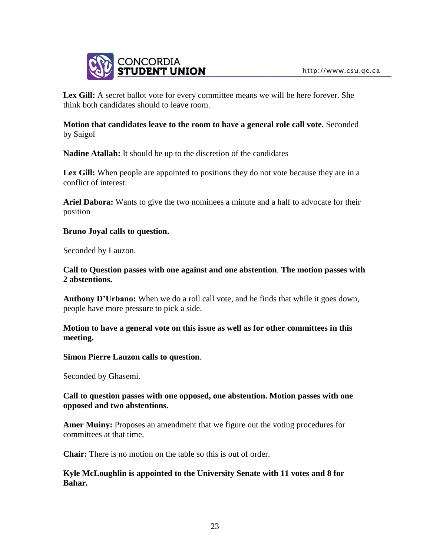

**Lex Gill:** A secret ballot vote for every committee means we will be here forever. She think both candidates should to leave room.

**Motion that candidates leave to the room to have a general role call vote.** Seconded by Saigol

**Nadine Atallah:** It should be up to the discretion of the candidates

Lex Gill: When people are appointed to positions they do not vote because they are in a conflict of interest.

**Ariel Dabora:** Wants to give the two nominees a minute and a half to advocate for their position

### **Bruno Joyal calls to question.**

Seconded by Lauzon.

### **Call to Question passes with one against and one abstention**. **The motion passes with 2 abstentions.**

**Anthony D'Urbano:** When we do a roll call vote, and he finds that while it goes down, people have more pressure to pick a side.

## **Motion to have a general vote on this issue as well as for other committees in this meeting.**

### **Simon Pierre Lauzon calls to question**.

Seconded by Ghasemi.

## **Call to question passes with one opposed, one abstention. Motion passes with one opposed and two abstentions.**

**Amer Muiny:** Proposes an amendment that we figure out the voting procedures for committees at that time.

**Chair:** There is no motion on the table so this is out of order.

# **Kyle McLoughlin is appointed to the University Senate with 11 votes and 8 for Bahar.**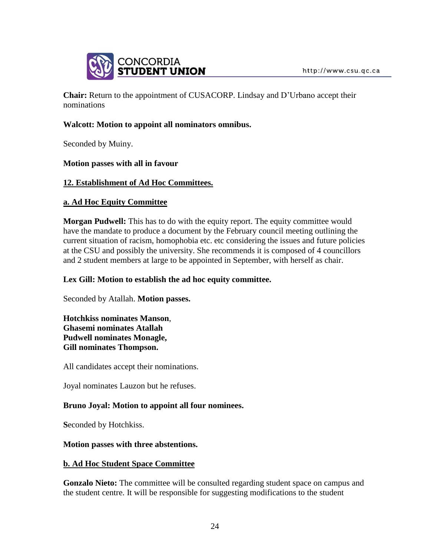

**Chair:** Return to the appointment of CUSACORP. Lindsay and D'Urbano accept their nominations

## **Walcott: Motion to appoint all nominators omnibus.**

Seconded by Muiny.

### **Motion passes with all in favour**

## **12. Establishment of Ad Hoc Committees.**

## **a. Ad Hoc Equity Committee**

**Morgan Pudwell:** This has to do with the equity report. The equity committee would have the mandate to produce a document by the February council meeting outlining the current situation of racism, homophobia etc. etc considering the issues and future policies at the CSU and possibly the university. She recommends it is composed of 4 councillors and 2 student members at large to be appointed in September, with herself as chair.

### **Lex Gill: Motion to establish the ad hoc equity committee.**

Seconded by Atallah. **Motion passes.**

**Hotchkiss nominates Manson**, **Ghasemi nominates Atallah Pudwell nominates Monagle, Gill nominates Thompson.** 

All candidates accept their nominations.

Joyal nominates Lauzon but he refuses.

# **Bruno Joyal: Motion to appoint all four nominees.**

**S**econded by Hotchkiss.

### **Motion passes with three abstentions.**

### **b. Ad Hoc Student Space Committee**

**Gonzalo Nieto:** The committee will be consulted regarding student space on campus and the student centre. It will be responsible for suggesting modifications to the student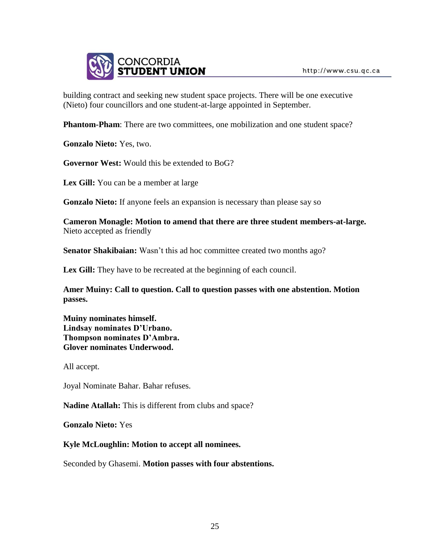

building contract and seeking new student space projects. There will be one executive (Nieto) four councillors and one student-at-large appointed in September.

**Phantom-Pham**: There are two committees, one mobilization and one student space?

**Gonzalo Nieto:** Yes, two.

**Governor West:** Would this be extended to BoG?

**Lex Gill:** You can be a member at large

**Gonzalo Nieto:** If anyone feels an expansion is necessary than please say so

**Cameron Monagle: Motion to amend that there are three student members-at-large.** Nieto accepted as friendly

**Senator Shakibaian:** Wasn't this ad hoc committee created two months ago?

**Lex Gill:** They have to be recreated at the beginning of each council.

**Amer Muiny: Call to question. Call to question passes with one abstention. Motion passes.** 

**Muiny nominates himself. Lindsay nominates D'Urbano. Thompson nominates D'Ambra. Glover nominates Underwood.** 

All accept.

Joyal Nominate Bahar. Bahar refuses.

**Nadine Atallah:** This is different from clubs and space?

**Gonzalo Nieto:** Yes

**Kyle McLoughlin: Motion to accept all nominees.**

Seconded by Ghasemi. **Motion passes with four abstentions.**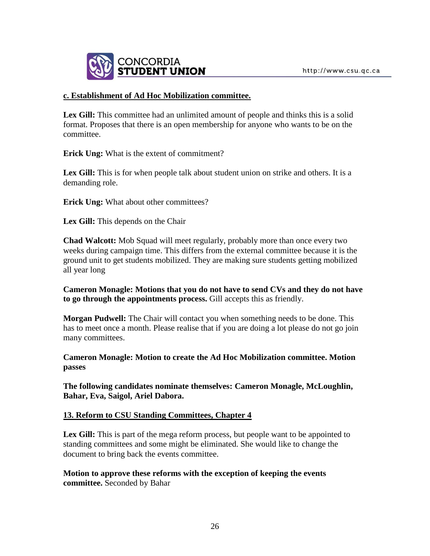

## **c. Establishment of Ad Hoc Mobilization committee.**

**Lex Gill:** This committee had an unlimited amount of people and thinks this is a solid format. Proposes that there is an open membership for anyone who wants to be on the committee.

**Erick Ung:** What is the extent of commitment?

**Lex Gill:** This is for when people talk about student union on strike and others. It is a demanding role.

**Erick Ung:** What about other committees?

**Lex Gill:** This depends on the Chair

**Chad Walcott:** Mob Squad will meet regularly, probably more than once every two weeks during campaign time. This differs from the external committee because it is the ground unit to get students mobilized. They are making sure students getting mobilized all year long

**Cameron Monagle: Motions that you do not have to send CVs and they do not have to go through the appointments process.** Gill accepts this as friendly.

**Morgan Pudwell:** The Chair will contact you when something needs to be done. This has to meet once a month. Please realise that if you are doing a lot please do not go join many committees.

**Cameron Monagle: Motion to create the Ad Hoc Mobilization committee. Motion passes** 

**The following candidates nominate themselves: Cameron Monagle, McLoughlin, Bahar, Eva, Saigol, Ariel Dabora.**

### **13. Reform to CSU Standing Committees, Chapter 4**

Lex Gill: This is part of the mega reform process, but people want to be appointed to standing committees and some might be eliminated. She would like to change the document to bring back the events committee.

**Motion to approve these reforms with the exception of keeping the events committee.** Seconded by Bahar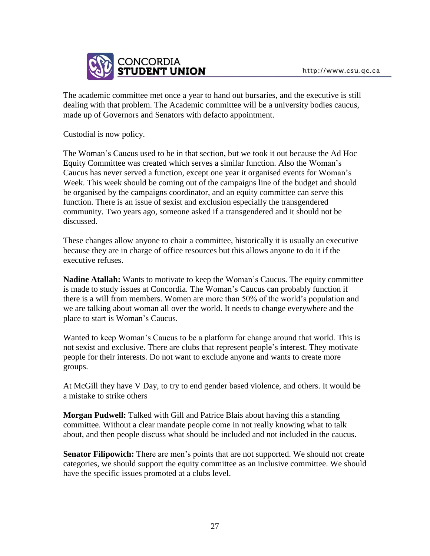

The academic committee met once a year to hand out bursaries, and the executive is still dealing with that problem. The Academic committee will be a university bodies caucus, made up of Governors and Senators with defacto appointment.

Custodial is now policy.

The Woman's Caucus used to be in that section, but we took it out because the Ad Hoc Equity Committee was created which serves a similar function. Also the Woman's Caucus has never served a function, except one year it organised events for Woman's Week. This week should be coming out of the campaigns line of the budget and should be organised by the campaigns coordinator, and an equity committee can serve this function. There is an issue of sexist and exclusion especially the transgendered community. Two years ago, someone asked if a transgendered and it should not be discussed.

These changes allow anyone to chair a committee, historically it is usually an executive because they are in charge of office resources but this allows anyone to do it if the executive refuses.

**Nadine Atallah:** Wants to motivate to keep the Woman's Caucus. The equity committee is made to study issues at Concordia. The Woman's Caucus can probably function if there is a will from members. Women are more than 50% of the world's population and we are talking about woman all over the world. It needs to change everywhere and the place to start is Woman's Caucus.

Wanted to keep Woman's Caucus to be a platform for change around that world. This is not sexist and exclusive. There are clubs that represent people's interest. They motivate people for their interests. Do not want to exclude anyone and wants to create more groups.

At McGill they have V Day, to try to end gender based violence, and others. It would be a mistake to strike others

**Morgan Pudwell:** Talked with Gill and Patrice Blais about having this a standing committee. Without a clear mandate people come in not really knowing what to talk about, and then people discuss what should be included and not included in the caucus.

**Senator Filipowich:** There are men's points that are not supported. We should not create categories, we should support the equity committee as an inclusive committee. We should have the specific issues promoted at a clubs level.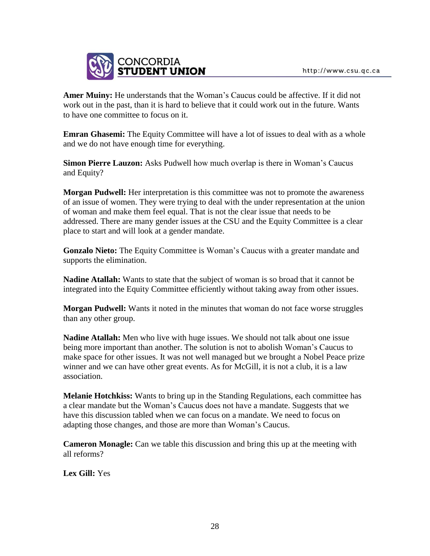

**Amer Muiny:** He understands that the Woman's Caucus could be affective. If it did not work out in the past, than it is hard to believe that it could work out in the future. Wants to have one committee to focus on it.

**Emran Ghasemi:** The Equity Committee will have a lot of issues to deal with as a whole and we do not have enough time for everything.

**Simon Pierre Lauzon:** Asks Pudwell how much overlap is there in Woman's Caucus and Equity?

**Morgan Pudwell:** Her interpretation is this committee was not to promote the awareness of an issue of women. They were trying to deal with the under representation at the union of woman and make them feel equal. That is not the clear issue that needs to be addressed. There are many gender issues at the CSU and the Equity Committee is a clear place to start and will look at a gender mandate.

**Gonzalo Nieto:** The Equity Committee is Woman's Caucus with a greater mandate and supports the elimination.

**Nadine Atallah:** Wants to state that the subject of woman is so broad that it cannot be integrated into the Equity Committee efficiently without taking away from other issues.

**Morgan Pudwell:** Wants it noted in the minutes that woman do not face worse struggles than any other group.

**Nadine Atallah:** Men who live with huge issues. We should not talk about one issue being more important than another. The solution is not to abolish Woman's Caucus to make space for other issues. It was not well managed but we brought a Nobel Peace prize winner and we can have other great events. As for McGill, it is not a club, it is a law association.

**Melanie Hotchkiss:** Wants to bring up in the Standing Regulations, each committee has a clear mandate but the Woman's Caucus does not have a mandate. Suggests that we have this discussion tabled when we can focus on a mandate. We need to focus on adapting those changes, and those are more than Woman's Caucus.

**Cameron Monagle:** Can we table this discussion and bring this up at the meeting with all reforms?

**Lex Gill:** Yes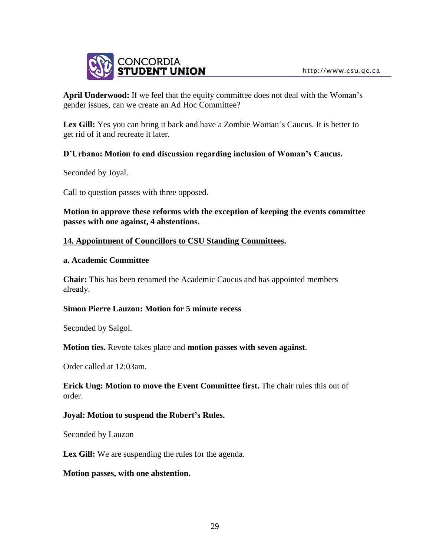

**April Underwood:** If we feel that the equity committee does not deal with the Woman's gender issues, can we create an Ad Hoc Committee?

Lex Gill: Yes you can bring it back and have a Zombie Woman's Caucus. It is better to get rid of it and recreate it later.

## **D'Urbano: Motion to end discussion regarding inclusion of Woman's Caucus.**

Seconded by Joyal.

Call to question passes with three opposed.

**Motion to approve these reforms with the exception of keeping the events committee passes with one against, 4 abstentions.**

### **14. Appointment of Councillors to CSU Standing Committees.**

#### **a. Academic Committee**

**Chair:** This has been renamed the Academic Caucus and has appointed members already.

### **Simon Pierre Lauzon: Motion for 5 minute recess**

Seconded by Saigol.

**Motion ties.** Revote takes place and **motion passes with seven against**.

Order called at 12:03am.

**Erick Ung: Motion to move the Event Committee first.** The chair rules this out of order.

### **Joyal: Motion to suspend the Robert's Rules.**

Seconded by Lauzon

Lex Gill: We are suspending the rules for the agenda.

### **Motion passes, with one abstention.**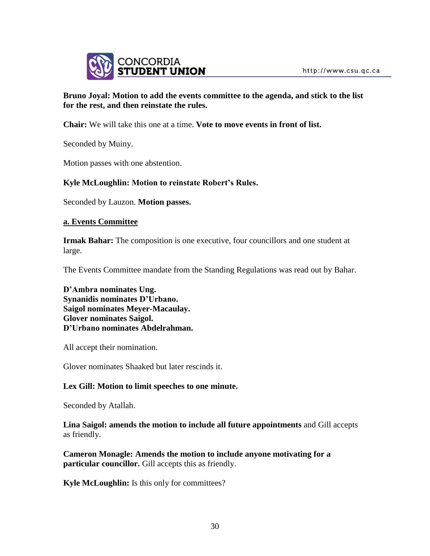

# **Bruno Joyal: Motion to add the events committee to the agenda, and stick to the list for the rest, and then reinstate the rules.**

**Chair:** We will take this one at a time. **Vote to move events in front of list.**

Seconded by Muiny.

Motion passes with one abstention.

# **Kyle McLoughlin: Motion to reinstate Robert's Rules.**

Seconded by Lauzon. **Motion passes.**

### **a. Events Committee**

**Irmak Bahar:** The composition is one executive, four councillors and one student at large.

The Events Committee mandate from the Standing Regulations was read out by Bahar.

**D'Ambra nominates Ung. Synanidis nominates D'Urbano. Saigol nominates Meyer-Macaulay. Glover nominates Saigol. D'Urbano nominates Abdelrahman.** 

All accept their nomination.

Glover nominates Shaaked but later rescinds it.

### **Lex Gill: Motion to limit speeches to one minute.**

Seconded by Atallah.

**Lina Saigol: amends the motion to include all future appointments** and Gill accepts as friendly.

**Cameron Monagle: Amends the motion to include anyone motivating for a particular councillor.** Gill accepts this as friendly.

**Kyle McLoughlin:** Is this only for committees?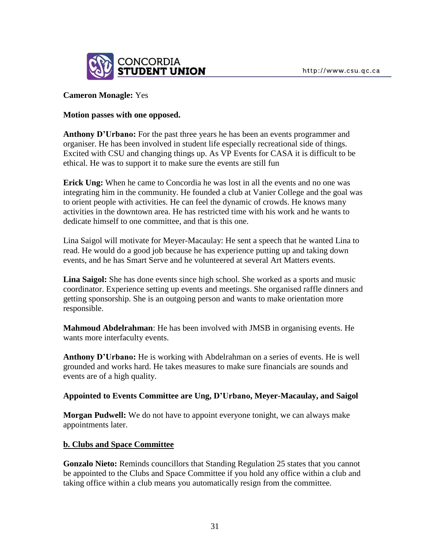

### **Cameron Monagle:** Yes

## **Motion passes with one opposed.**

**Anthony D'Urbano:** For the past three years he has been an events programmer and organiser. He has been involved in student life especially recreational side of things. Excited with CSU and changing things up. As VP Events for CASA it is difficult to be ethical. He was to support it to make sure the events are still fun

**Erick Ung:** When he came to Concordia he was lost in all the events and no one was integrating him in the community. He founded a club at Vanier College and the goal was to orient people with activities. He can feel the dynamic of crowds. He knows many activities in the downtown area. He has restricted time with his work and he wants to dedicate himself to one committee, and that is this one.

Lina Saigol will motivate for Meyer-Macaulay: He sent a speech that he wanted Lina to read. He would do a good job because he has experience putting up and taking down events, and he has Smart Serve and he volunteered at several Art Matters events.

**Lina Saigol:** She has done events since high school. She worked as a sports and music coordinator. Experience setting up events and meetings. She organised raffle dinners and getting sponsorship. She is an outgoing person and wants to make orientation more responsible.

**Mahmoud Abdelrahman**: He has been involved with JMSB in organising events. He wants more interfaculty events.

**Anthony D'Urbano:** He is working with Abdelrahman on a series of events. He is well grounded and works hard. He takes measures to make sure financials are sounds and events are of a high quality.

### **Appointed to Events Committee are Ung, D'Urbano, Meyer-Macaulay, and Saigol**

**Morgan Pudwell:** We do not have to appoint everyone tonight, we can always make appointments later.

### **b. Clubs and Space Committee**

**Gonzalo Nieto:** Reminds councillors that Standing Regulation 25 states that you cannot be appointed to the Clubs and Space Committee if you hold any office within a club and taking office within a club means you automatically resign from the committee.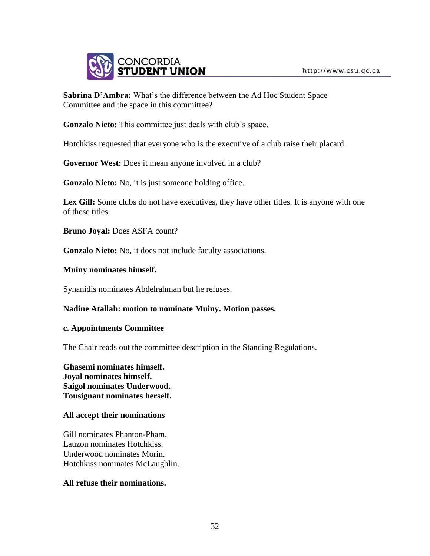

**Sabrina D'Ambra:** What's the difference between the Ad Hoc Student Space Committee and the space in this committee?

**Gonzalo Nieto:** This committee just deals with club's space.

Hotchkiss requested that everyone who is the executive of a club raise their placard.

**Governor West:** Does it mean anyone involved in a club?

**Gonzalo Nieto:** No, it is just someone holding office.

Lex Gill: Some clubs do not have executives, they have other titles. It is anyone with one of these titles.

**Bruno Joyal:** Does ASFA count?

**Gonzalo Nieto:** No, it does not include faculty associations.

**Muiny nominates himself.** 

Synanidis nominates Abdelrahman but he refuses.

### **Nadine Atallah: motion to nominate Muiny. Motion passes.**

#### **c. Appointments Committee**

The Chair reads out the committee description in the Standing Regulations.

**Ghasemi nominates himself. Joyal nominates himself. Saigol nominates Underwood. Tousignant nominates herself.** 

### **All accept their nominations**

Gill nominates Phanton-Pham. Lauzon nominates Hotchkiss. Underwood nominates Morin. Hotchkiss nominates McLaughlin.

### **All refuse their nominations.**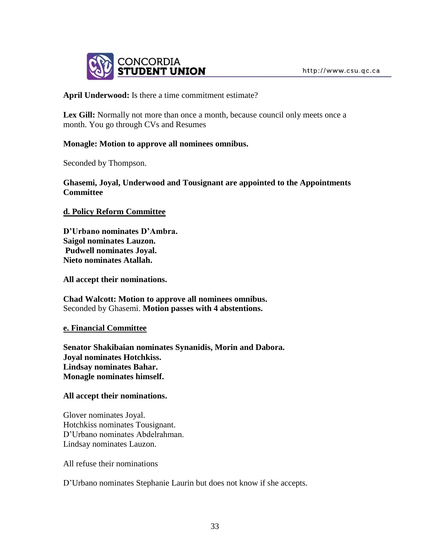

**April Underwood:** Is there a time commitment estimate?

**Lex Gill:** Normally not more than once a month, because council only meets once a month. You go through CVs and Resumes

### **Monagle: Motion to approve all nominees omnibus.**

Seconded by Thompson.

**Ghasemi, Joyal, Underwood and Tousignant are appointed to the Appointments Committee**

**d. Policy Reform Committee**

**D'Urbano nominates D'Ambra. Saigol nominates Lauzon. Pudwell nominates Joyal. Nieto nominates Atallah.** 

**All accept their nominations.**

**Chad Walcott: Motion to approve all nominees omnibus.**  Seconded by Ghasemi. **Motion passes with 4 abstentions.**

### **e. Financial Committee**

**Senator Shakibaian nominates Synanidis, Morin and Dabora. Joyal nominates Hotchkiss. Lindsay nominates Bahar. Monagle nominates himself.** 

### **All accept their nominations.**

Glover nominates Joyal. Hotchkiss nominates Tousignant. D'Urbano nominates Abdelrahman. Lindsay nominates Lauzon.

All refuse their nominations

D'Urbano nominates Stephanie Laurin but does not know if she accepts.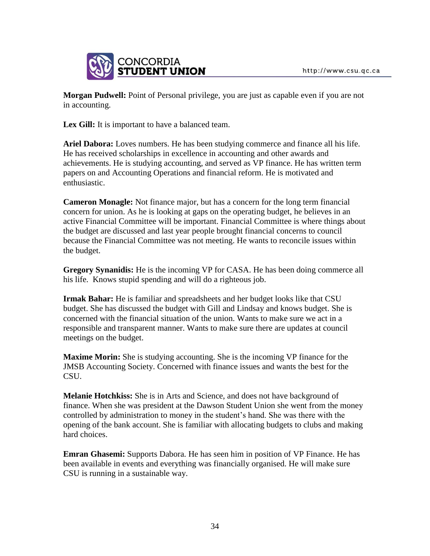

**Morgan Pudwell:** Point of Personal privilege, you are just as capable even if you are not in accounting.

Lex Gill: It is important to have a balanced team.

**Ariel Dabora:** Loves numbers. He has been studying commerce and finance all his life. He has received scholarships in excellence in accounting and other awards and achievements. He is studying accounting, and served as VP finance. He has written term papers on and Accounting Operations and financial reform. He is motivated and enthusiastic.

**Cameron Monagle:** Not finance major, but has a concern for the long term financial concern for union. As he is looking at gaps on the operating budget, he believes in an active Financial Committee will be important. Financial Committee is where things about the budget are discussed and last year people brought financial concerns to council because the Financial Committee was not meeting. He wants to reconcile issues within the budget.

**Gregory Synanidis:** He is the incoming VP for CASA. He has been doing commerce all his life. Knows stupid spending and will do a righteous job.

**Irmak Bahar:** He is familiar and spreadsheets and her budget looks like that CSU budget. She has discussed the budget with Gill and Lindsay and knows budget. She is concerned with the financial situation of the union. Wants to make sure we act in a responsible and transparent manner. Wants to make sure there are updates at council meetings on the budget.

**Maxime Morin:** She is studying accounting. She is the incoming VP finance for the JMSB Accounting Society. Concerned with finance issues and wants the best for the CSU.

**Melanie Hotchkiss:** She is in Arts and Science, and does not have background of finance. When she was president at the Dawson Student Union she went from the money controlled by administration to money in the student's hand. She was there with the opening of the bank account. She is familiar with allocating budgets to clubs and making hard choices.

**Emran Ghasemi:** Supports Dabora. He has seen him in position of VP Finance. He has been available in events and everything was financially organised. He will make sure CSU is running in a sustainable way.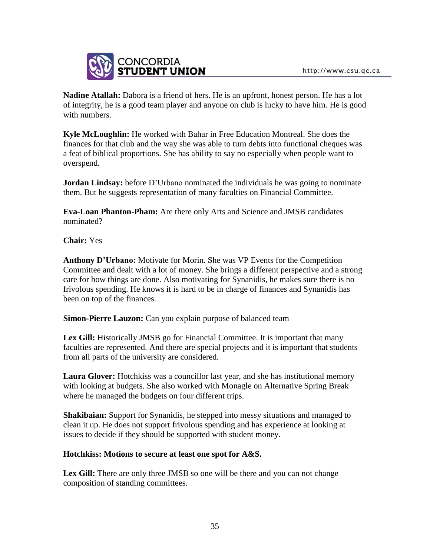

**Nadine Atallah:** Dabora is a friend of hers. He is an upfront, honest person. He has a lot of integrity, he is a good team player and anyone on club is lucky to have him. He is good with numbers.

**Kyle McLoughlin:** He worked with Bahar in Free Education Montreal. She does the finances for that club and the way she was able to turn debts into functional cheques was a feat of biblical proportions. She has ability to say no especially when people want to overspend.

**Jordan Lindsay:** before D'Urbano nominated the individuals he was going to nominate them. But he suggests representation of many faculties on Financial Committee.

**Eva-Loan Phanton-Pham:** Are there only Arts and Science and JMSB candidates nominated?

**Chair:** Yes

**Anthony D'Urbano:** Motivate for Morin. She was VP Events for the Competition Committee and dealt with a lot of money. She brings a different perspective and a strong care for how things are done. Also motivating for Synanidis, he makes sure there is no frivolous spending. He knows it is hard to be in charge of finances and Synanidis has been on top of the finances.

**Simon-Pierre Lauzon:** Can you explain purpose of balanced team

Lex Gill: Historically JMSB go for Financial Committee. It is important that many faculties are represented. And there are special projects and it is important that students from all parts of the university are considered.

**Laura Glover:** Hotchkiss was a councillor last year, and she has institutional memory with looking at budgets. She also worked with Monagle on Alternative Spring Break where he managed the budgets on four different trips.

**Shakibaian:** Support for Synanidis, he stepped into messy situations and managed to clean it up. He does not support frivolous spending and has experience at looking at issues to decide if they should be supported with student money.

# **Hotchkiss: Motions to secure at least one spot for A&S.**

Lex Gill: There are only three JMSB so one will be there and you can not change composition of standing committees.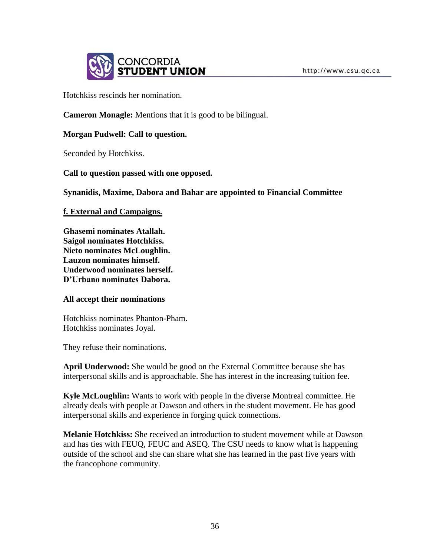

Hotchkiss rescinds her nomination.

**Cameron Monagle:** Mentions that it is good to be bilingual.

## **Morgan Pudwell: Call to question.**

Seconded by Hotchkiss.

**Call to question passed with one opposed.**

**Synanidis, Maxime, Dabora and Bahar are appointed to Financial Committee**

**f. External and Campaigns.** 

**Ghasemi nominates Atallah. Saigol nominates Hotchkiss. Nieto nominates McLoughlin. Lauzon nominates himself. Underwood nominates herself. D'Urbano nominates Dabora.**

### **All accept their nominations**

Hotchkiss nominates Phanton-Pham. Hotchkiss nominates Joyal.

They refuse their nominations.

**April Underwood:** She would be good on the External Committee because she has interpersonal skills and is approachable. She has interest in the increasing tuition fee.

**Kyle McLoughlin:** Wants to work with people in the diverse Montreal committee. He already deals with people at Dawson and others in the student movement. He has good interpersonal skills and experience in forging quick connections.

**Melanie Hotchkiss:** She received an introduction to student movement while at Dawson and has ties with FEUQ, FEUC and ASEQ. The CSU needs to know what is happening outside of the school and she can share what she has learned in the past five years with the francophone community.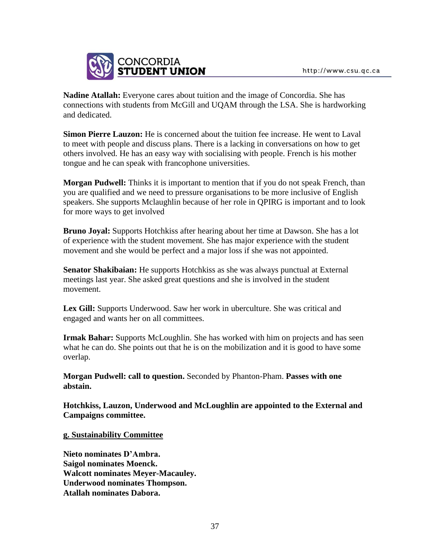

**Nadine Atallah:** Everyone cares about tuition and the image of Concordia. She has connections with students from McGill and UQAM through the LSA. She is hardworking and dedicated.

**Simon Pierre Lauzon:** He is concerned about the tuition fee increase. He went to Laval to meet with people and discuss plans. There is a lacking in conversations on how to get others involved. He has an easy way with socialising with people. French is his mother tongue and he can speak with francophone universities.

**Morgan Pudwell:** Thinks it is important to mention that if you do not speak French, than you are qualified and we need to pressure organisations to be more inclusive of English speakers. She supports Mclaughlin because of her role in QPIRG is important and to look for more ways to get involved

**Bruno Joyal:** Supports Hotchkiss after hearing about her time at Dawson. She has a lot of experience with the student movement. She has major experience with the student movement and she would be perfect and a major loss if she was not appointed.

**Senator Shakibaian:** He supports Hotchkiss as she was always punctual at External meetings last year. She asked great questions and she is involved in the student movement.

**Lex Gill:** Supports Underwood. Saw her work in uberculture. She was critical and engaged and wants her on all committees.

**Irmak Bahar:** Supports McLoughlin. She has worked with him on projects and has seen what he can do. She points out that he is on the mobilization and it is good to have some overlap.

**Morgan Pudwell: call to question.** Seconded by Phanton-Pham. **Passes with one abstain.**

**Hotchkiss, Lauzon, Underwood and McLoughlin are appointed to the External and Campaigns committee.** 

**g. Sustainability Committee**

**Nieto nominates D'Ambra. Saigol nominates Moenck. Walcott nominates Meyer-Macauley. Underwood nominates Thompson. Atallah nominates Dabora.**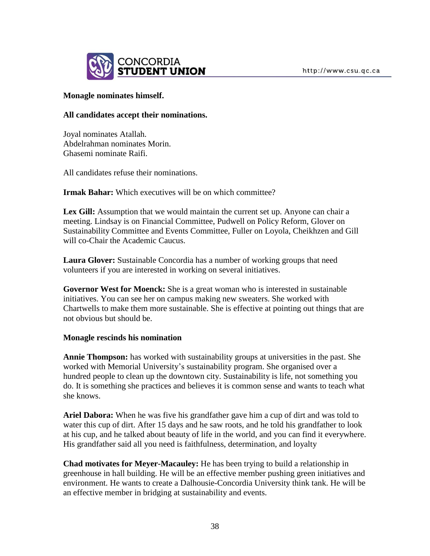

### **Monagle nominates himself.**

### **All candidates accept their nominations.**

Joyal nominates Atallah. Abdelrahman nominates Morin. Ghasemi nominate Raifi.

All candidates refuse their nominations.

**Irmak Bahar:** Which executives will be on which committee?

**Lex Gill:** Assumption that we would maintain the current set up. Anyone can chair a meeting. Lindsay is on Financial Committee, Pudwell on Policy Reform, Glover on Sustainability Committee and Events Committee, Fuller on Loyola, Cheikhzen and Gill will co-Chair the Academic Caucus.

**Laura Glover:** Sustainable Concordia has a number of working groups that need volunteers if you are interested in working on several initiatives.

**Governor West for Moenck:** She is a great woman who is interested in sustainable initiatives. You can see her on campus making new sweaters. She worked with Chartwells to make them more sustainable. She is effective at pointing out things that are not obvious but should be.

### **Monagle rescinds his nomination**

**Annie Thompson:** has worked with sustainability groups at universities in the past. She worked with Memorial University's sustainability program. She organised over a hundred people to clean up the downtown city. Sustainability is life, not something you do. It is something she practices and believes it is common sense and wants to teach what she knows.

**Ariel Dabora:** When he was five his grandfather gave him a cup of dirt and was told to water this cup of dirt. After 15 days and he saw roots, and he told his grandfather to look at his cup, and he talked about beauty of life in the world, and you can find it everywhere. His grandfather said all you need is faithfulness, determination, and loyalty

**Chad motivates for Meyer-Macauley:** He has been trying to build a relationship in greenhouse in hall building. He will be an effective member pushing green initiatives and environment. He wants to create a Dalhousie-Concordia University think tank. He will be an effective member in bridging at sustainability and events.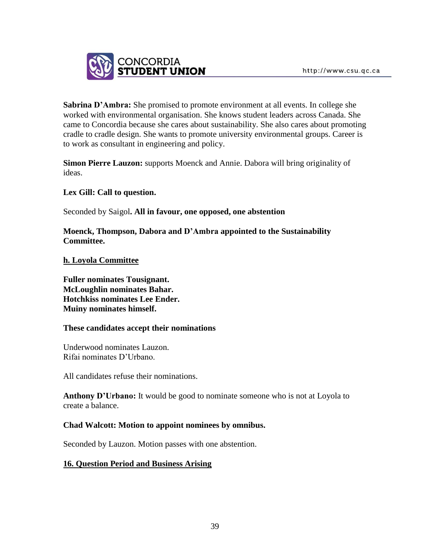

**Sabrina D'Ambra:** She promised to promote environment at all events. In college she worked with environmental organisation. She knows student leaders across Canada. She came to Concordia because she cares about sustainability. She also cares about promoting cradle to cradle design. She wants to promote university environmental groups. Career is to work as consultant in engineering and policy.

**Simon Pierre Lauzon:** supports Moenck and Annie. Dabora will bring originality of ideas.

# **Lex Gill: Call to question.**

Seconded by Saigol**. All in favour, one opposed, one abstention**

**Moenck, Thompson, Dabora and D'Ambra appointed to the Sustainability Committee.**

## **h. Loyola Committee**

**Fuller nominates Tousignant. McLoughlin nominates Bahar. Hotchkiss nominates Lee Ender. Muiny nominates himself.** 

### **These candidates accept their nominations**

Underwood nominates Lauzon. Rifai nominates D'Urbano.

All candidates refuse their nominations.

**Anthony D'Urbano:** It would be good to nominate someone who is not at Loyola to create a balance.

# **Chad Walcott: Motion to appoint nominees by omnibus.**

Seconded by Lauzon. Motion passes with one abstention.

# **16. Question Period and Business Arising**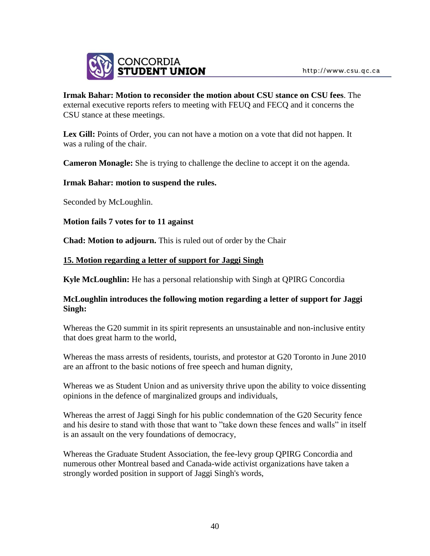

## **Irmak Bahar: Motion to reconsider the motion about CSU stance on CSU fees**. The external executive reports refers to meeting with FEUQ and FECQ and it concerns the CSU stance at these meetings.

Lex Gill: Points of Order, you can not have a motion on a vote that did not happen. It was a ruling of the chair.

**Cameron Monagle:** She is trying to challenge the decline to accept it on the agenda.

## **Irmak Bahar: motion to suspend the rules.**

Seconded by McLoughlin.

**Motion fails 7 votes for to 11 against**

**Chad: Motion to adjourn.** This is ruled out of order by the Chair

## **15. Motion regarding a letter of support for Jaggi Singh**

**Kyle McLoughlin:** He has a personal relationship with Singh at QPIRG Concordia

# **McLoughlin introduces the following motion regarding a letter of support for Jaggi Singh:**

Whereas the G20 summit in its spirit represents an unsustainable and non-inclusive entity that does great harm to the world,

Whereas the mass arrests of residents, tourists, and protestor at G20 Toronto in June 2010 are an affront to the basic notions of free speech and human dignity,

Whereas we as Student Union and as university thrive upon the ability to voice dissenting opinions in the defence of marginalized groups and individuals,

Whereas the arrest of Jaggi Singh for his public condemnation of the G20 Security fence and his desire to stand with those that want to "take down these fences and walls" in itself is an assault on the very foundations of democracy,

Whereas the Graduate Student Association, the fee-levy group QPIRG Concordia and numerous other Montreal based and Canada-wide activist organizations have taken a strongly worded position in support of Jaggi Singh's words,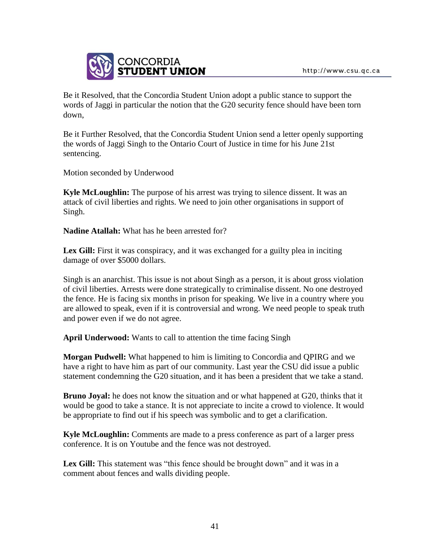

Be it Resolved, that the Concordia Student Union adopt a public stance to support the words of Jaggi in particular the notion that the G20 security fence should have been torn down,

Be it Further Resolved, that the Concordia Student Union send a letter openly supporting the words of Jaggi Singh to the Ontario Court of Justice in time for his June 21st sentencing.

Motion seconded by Underwood

**Kyle McLoughlin:** The purpose of his arrest was trying to silence dissent. It was an attack of civil liberties and rights. We need to join other organisations in support of Singh.

**Nadine Atallah:** What has he been arrested for?

Lex Gill: First it was conspiracy, and it was exchanged for a guilty plea in inciting damage of over \$5000 dollars.

Singh is an anarchist. This issue is not about Singh as a person, it is about gross violation of civil liberties. Arrests were done strategically to criminalise dissent. No one destroyed the fence. He is facing six months in prison for speaking. We live in a country where you are allowed to speak, even if it is controversial and wrong. We need people to speak truth and power even if we do not agree.

**April Underwood:** Wants to call to attention the time facing Singh

**Morgan Pudwell:** What happened to him is limiting to Concordia and QPIRG and we have a right to have him as part of our community. Last year the CSU did issue a public statement condemning the G20 situation, and it has been a president that we take a stand.

**Bruno Joyal:** he does not know the situation and or what happened at G20, thinks that it would be good to take a stance. It is not appreciate to incite a crowd to violence. It would be appropriate to find out if his speech was symbolic and to get a clarification.

**Kyle McLoughlin:** Comments are made to a press conference as part of a larger press conference. It is on Youtube and the fence was not destroyed.

Lex Gill: This statement was "this fence should be brought down" and it was in a comment about fences and walls dividing people.